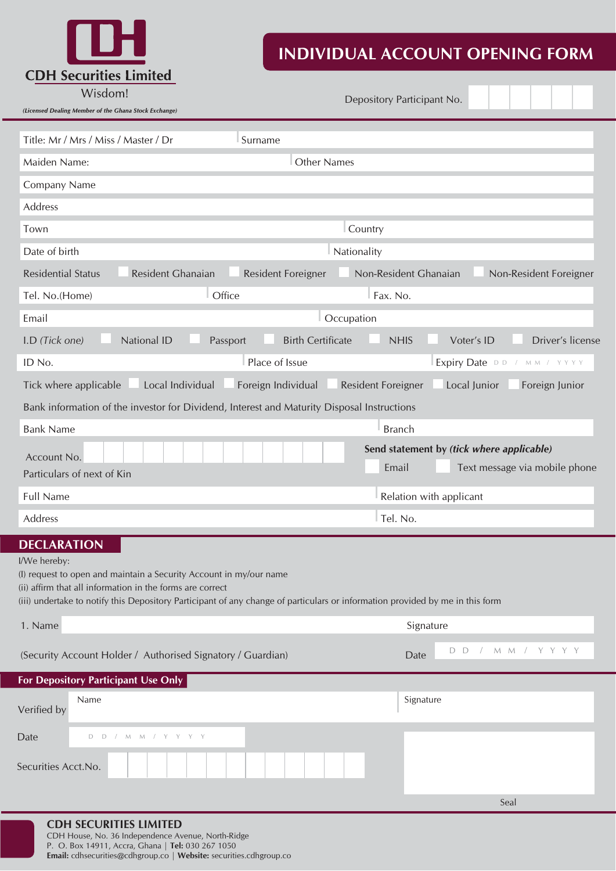**CDH Securities Limited** 

## **INDIVIDUAL ACCOUNT OPENING FORM**

| Wisdom! |  |
|---------|--|

 *(Licensed Dealing Member of the Ghana Stock Exchange)*

Depository Participant No.

|                                    | Title: Mr / Mrs / Miss / Master / Dr<br>Surname                                                                                                                                                                                                                  |                         |                                           |
|------------------------------------|------------------------------------------------------------------------------------------------------------------------------------------------------------------------------------------------------------------------------------------------------------------|-------------------------|-------------------------------------------|
| Maiden Name:                       | <b>Other Names</b>                                                                                                                                                                                                                                               |                         |                                           |
| Company Name                       |                                                                                                                                                                                                                                                                  |                         |                                           |
| Address                            |                                                                                                                                                                                                                                                                  |                         |                                           |
| Town                               |                                                                                                                                                                                                                                                                  | Country                 |                                           |
| Date of birth                      | Nationality                                                                                                                                                                                                                                                      |                         |                                           |
| <b>Residential Status</b>          | Resident Ghanaian<br><b>Resident Foreigner</b>                                                                                                                                                                                                                   | Non-Resident Ghanaian   | Non-Resident Foreigner                    |
| Tel. No.(Home)                     | Office                                                                                                                                                                                                                                                           | Fax. No.                |                                           |
| Email                              | Occupation                                                                                                                                                                                                                                                       |                         |                                           |
| I.D (Tick one)                     | National ID<br><b>Birth Certificate</b><br>Passport                                                                                                                                                                                                              | <b>NHIS</b>             | Voter's ID<br>Driver's license            |
| ID No.                             | Place of Issue                                                                                                                                                                                                                                                   |                         | Expiry Date DD / MM / YYYY                |
|                                    | Local Individual<br>Foreign Individual<br>Tick where applicable                                                                                                                                                                                                  | Resident Foreigner      | Local Junior<br>Foreign Junior            |
|                                    | Bank information of the investor for Dividend, Interest and Maturity Disposal Instructions                                                                                                                                                                       |                         |                                           |
| <b>Bank Name</b>                   |                                                                                                                                                                                                                                                                  | <b>Branch</b>           |                                           |
| Account No.                        |                                                                                                                                                                                                                                                                  |                         | Send statement by (tick where applicable) |
|                                    | Particulars of next of Kin                                                                                                                                                                                                                                       | Email                   | Text message via mobile phone             |
| <b>Full Name</b>                   |                                                                                                                                                                                                                                                                  | Relation with applicant |                                           |
| Address                            |                                                                                                                                                                                                                                                                  | Tel. No.                |                                           |
| <b>DECLARATION</b><br>I/We hereby: | (I) request to open and maintain a Security Account in my/our name<br>(ii) affirm that all information in the forms are correct<br>(iii) undertake to notify this Depository Participant of any change of particulars or information provided by me in this form |                         |                                           |
| 1. Name                            |                                                                                                                                                                                                                                                                  | Signature               |                                           |
|                                    | (Security Account Holder / Authorised Signatory / Guardian)                                                                                                                                                                                                      | Date                    | $M$ $M$ /<br>Y<br>Y Y Y<br>D<br>D         |
|                                    | For Depository Participant Use Only                                                                                                                                                                                                                              |                         |                                           |
| Verified by                        | Name                                                                                                                                                                                                                                                             | Signature               |                                           |
| Date                               | $M$ $M$<br>D<br>$\Box$<br>Y<br>Y                                                                                                                                                                                                                                 |                         |                                           |
| Securities Acct.No.                |                                                                                                                                                                                                                                                                  |                         |                                           |
|                                    |                                                                                                                                                                                                                                                                  |                         | Seal                                      |
|                                    | $\cap$ שב כב $\cap$ ו וסודוככ ו ו $\lambda$ ודב $\cap$                                                                                                                                                                                                           |                         |                                           |